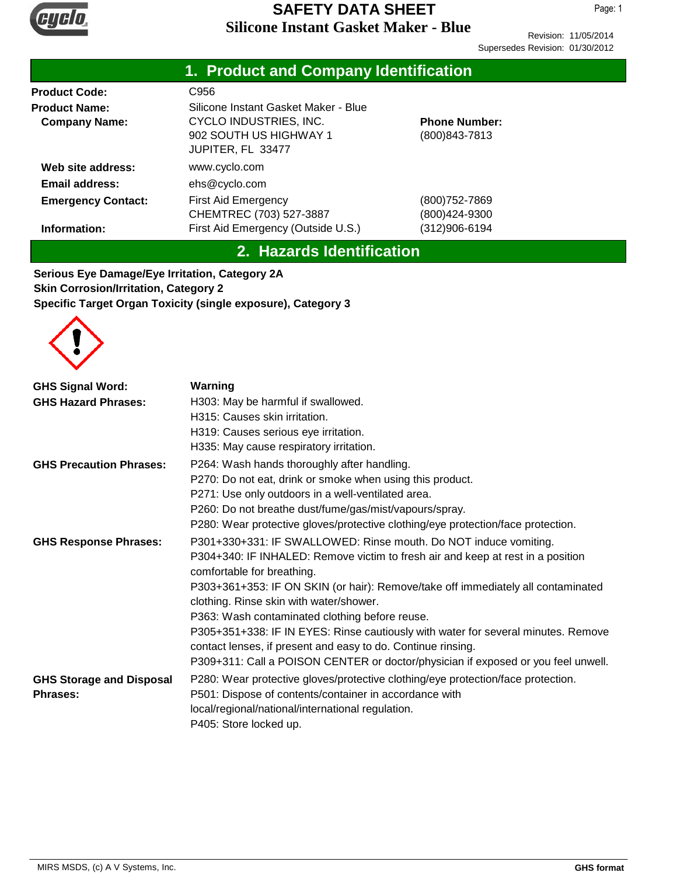

Revision: 11/05/2014 Supersedes Revision: 01/30/2012

|                                              | 1. Product and Company Identification                                                                         |                                        |  |  |
|----------------------------------------------|---------------------------------------------------------------------------------------------------------------|----------------------------------------|--|--|
| <b>Product Code:</b>                         | C956                                                                                                          |                                        |  |  |
| <b>Product Name:</b><br><b>Company Name:</b> | Silicone Instant Gasket Maker - Blue<br>CYCLO INDUSTRIES, INC.<br>902 SOUTH US HIGHWAY 1<br>JUPITER, FL 33477 | <b>Phone Number:</b><br>(800) 843-7813 |  |  |
| Web site address:                            | www.cyclo.com                                                                                                 |                                        |  |  |
| <b>Email address:</b>                        | ehs@cyclo.com                                                                                                 |                                        |  |  |
| <b>Emergency Contact:</b>                    | <b>First Aid Emergency</b><br>CHEMTREC (703) 527-3887                                                         | (800) 752-7869<br>(800)424-9300        |  |  |
| Information:                                 | First Aid Emergency (Outside U.S.)                                                                            | (312)906-6194                          |  |  |

## **2. Hazards Identification**

**Serious Eye Damage/Eye Irritation, Category 2A Skin Corrosion/Irritation, Category 2 Specific Target Organ Toxicity (single exposure), Category 3**



| <b>GHS Signal Word:</b>                            | Warning                                                                                                                                                                                         |
|----------------------------------------------------|-------------------------------------------------------------------------------------------------------------------------------------------------------------------------------------------------|
| <b>GHS Hazard Phrases:</b>                         | H303: May be harmful if swallowed.                                                                                                                                                              |
|                                                    | H315: Causes skin irritation.                                                                                                                                                                   |
|                                                    | H319: Causes serious eye irritation.                                                                                                                                                            |
|                                                    | H335: May cause respiratory irritation.                                                                                                                                                         |
| <b>GHS Precaution Phrases:</b>                     | P264: Wash hands thoroughly after handling.                                                                                                                                                     |
|                                                    | P270: Do not eat, drink or smoke when using this product.                                                                                                                                       |
|                                                    | P271: Use only outdoors in a well-ventilated area.                                                                                                                                              |
|                                                    | P260: Do not breathe dust/fume/gas/mist/vapours/spray.                                                                                                                                          |
|                                                    | P280: Wear protective gloves/protective clothing/eye protection/face protection.                                                                                                                |
| <b>GHS Response Phrases:</b>                       | P301+330+331: IF SWALLOWED: Rinse mouth. Do NOT induce vomiting.                                                                                                                                |
|                                                    | P304+340: IF INHALED: Remove victim to fresh air and keep at rest in a position<br>comfortable for breathing.                                                                                   |
|                                                    | P303+361+353: IF ON SKIN (or hair): Remove/take off immediately all contaminated<br>clothing. Rinse skin with water/shower.                                                                     |
|                                                    | P363: Wash contaminated clothing before reuse.                                                                                                                                                  |
|                                                    | P305+351+338: IF IN EYES: Rinse cautiously with water for several minutes. Remove<br>contact lenses, if present and easy to do. Continue rinsing.                                               |
|                                                    | P309+311: Call a POISON CENTER or doctor/physician if exposed or you feel unwell.                                                                                                               |
| <b>GHS Storage and Disposal</b><br><b>Phrases:</b> | P280: Wear protective gloves/protective clothing/eye protection/face protection.<br>P501: Dispose of contents/container in accordance with<br>local/regional/national/international regulation. |
|                                                    | P405: Store locked up.                                                                                                                                                                          |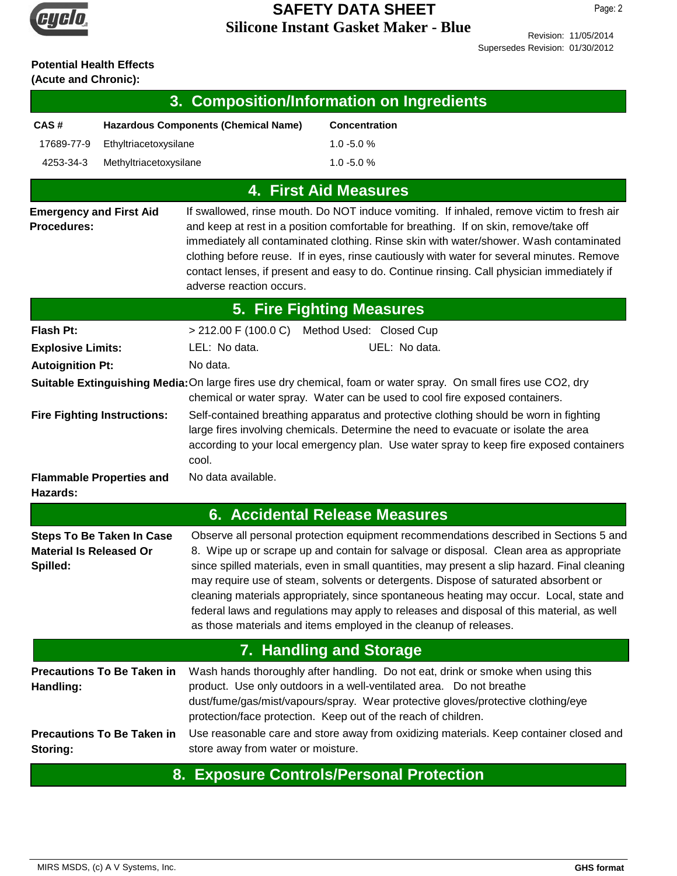

Revision: 11/05/2014 Supersedes Revision: 01/30/2012

# **Potential Health Effects**

**(Acute and Chronic):**

| 3. Composition/Information on Ingredients            |                                             |                                              |                                                                                                                                                                                                                                                                                                                                                                                                                                                                                                                                                                                                                                     |  |  |
|------------------------------------------------------|---------------------------------------------|----------------------------------------------|-------------------------------------------------------------------------------------------------------------------------------------------------------------------------------------------------------------------------------------------------------------------------------------------------------------------------------------------------------------------------------------------------------------------------------------------------------------------------------------------------------------------------------------------------------------------------------------------------------------------------------------|--|--|
| CAS#                                                 | <b>Hazardous Components (Chemical Name)</b> |                                              | <b>Concentration</b>                                                                                                                                                                                                                                                                                                                                                                                                                                                                                                                                                                                                                |  |  |
| 17689-77-9                                           | Ethyltriacetoxysilane                       |                                              | $1.0 - 5.0 %$                                                                                                                                                                                                                                                                                                                                                                                                                                                                                                                                                                                                                       |  |  |
| 4253-34-3                                            | Methyltriacetoxysilane                      |                                              | $1.0 - 5.0 %$                                                                                                                                                                                                                                                                                                                                                                                                                                                                                                                                                                                                                       |  |  |
|                                                      |                                             |                                              | <b>4. First Aid Measures</b>                                                                                                                                                                                                                                                                                                                                                                                                                                                                                                                                                                                                        |  |  |
| <b>Emergency and First Aid</b><br><b>Procedures:</b> |                                             | adverse reaction occurs.                     | If swallowed, rinse mouth. Do NOT induce vomiting. If inhaled, remove victim to fresh air<br>and keep at rest in a position comfortable for breathing. If on skin, remove/take off<br>immediately all contaminated clothing. Rinse skin with water/shower. Wash contaminated<br>clothing before reuse. If in eyes, rinse cautiously with water for several minutes. Remove<br>contact lenses, if present and easy to do. Continue rinsing. Call physician immediately if                                                                                                                                                            |  |  |
|                                                      |                                             |                                              | <b>5. Fire Fighting Measures</b>                                                                                                                                                                                                                                                                                                                                                                                                                                                                                                                                                                                                    |  |  |
| Flash Pt:                                            |                                             | > 212.00 F (100.0 C) Method Used: Closed Cup |                                                                                                                                                                                                                                                                                                                                                                                                                                                                                                                                                                                                                                     |  |  |
| <b>Explosive Limits:</b>                             |                                             | LEL: No data.                                | UEL: No data.                                                                                                                                                                                                                                                                                                                                                                                                                                                                                                                                                                                                                       |  |  |
| <b>Autoignition Pt:</b>                              |                                             | No data.                                     |                                                                                                                                                                                                                                                                                                                                                                                                                                                                                                                                                                                                                                     |  |  |
|                                                      |                                             |                                              | Suitable Extinguishing Media: On large fires use dry chemical, foam or water spray. On small fires use CO2, dry<br>chemical or water spray. Water can be used to cool fire exposed containers.                                                                                                                                                                                                                                                                                                                                                                                                                                      |  |  |
|                                                      | <b>Fire Fighting Instructions:</b>          | cool.                                        | Self-contained breathing apparatus and protective clothing should be worn in fighting<br>large fires involving chemicals. Determine the need to evacuate or isolate the area<br>according to your local emergency plan. Use water spray to keep fire exposed containers                                                                                                                                                                                                                                                                                                                                                             |  |  |
| Hazards:                                             | <b>Flammable Properties and</b>             | No data available.                           |                                                                                                                                                                                                                                                                                                                                                                                                                                                                                                                                                                                                                                     |  |  |
|                                                      |                                             |                                              | 6. Accidental Release Measures                                                                                                                                                                                                                                                                                                                                                                                                                                                                                                                                                                                                      |  |  |
| <b>Material Is Released Or</b><br>Spilled:           | <b>Steps To Be Taken In Case</b>            |                                              | Observe all personal protection equipment recommendations described in Sections 5 and<br>8. Wipe up or scrape up and contain for salvage or disposal. Clean area as appropriate<br>since spilled materials, even in small quantities, may present a slip hazard. Final cleaning<br>may require use of steam, solvents or detergents. Dispose of saturated absorbent or<br>cleaning materials appropriately, since spontaneous heating may occur. Local, state and<br>federal laws and regulations may apply to releases and disposal of this material, as well<br>as those materials and items employed in the cleanup of releases. |  |  |
|                                                      |                                             |                                              | 7. Handling and Storage                                                                                                                                                                                                                                                                                                                                                                                                                                                                                                                                                                                                             |  |  |
| Handling:                                            | <b>Precautions To Be Taken in</b>           |                                              | Wash hands thoroughly after handling. Do not eat, drink or smoke when using this<br>product. Use only outdoors in a well-ventilated area. Do not breathe<br>dust/fume/gas/mist/vapours/spray. Wear protective gloves/protective clothing/eye<br>protection/face protection. Keep out of the reach of children.                                                                                                                                                                                                                                                                                                                      |  |  |
| Storing:                                             | <b>Precautions To Be Taken in</b>           | store away from water or moisture.           | Use reasonable care and store away from oxidizing materials. Keep container closed and                                                                                                                                                                                                                                                                                                                                                                                                                                                                                                                                              |  |  |

#### **8. Exposure Controls/Personal Protection**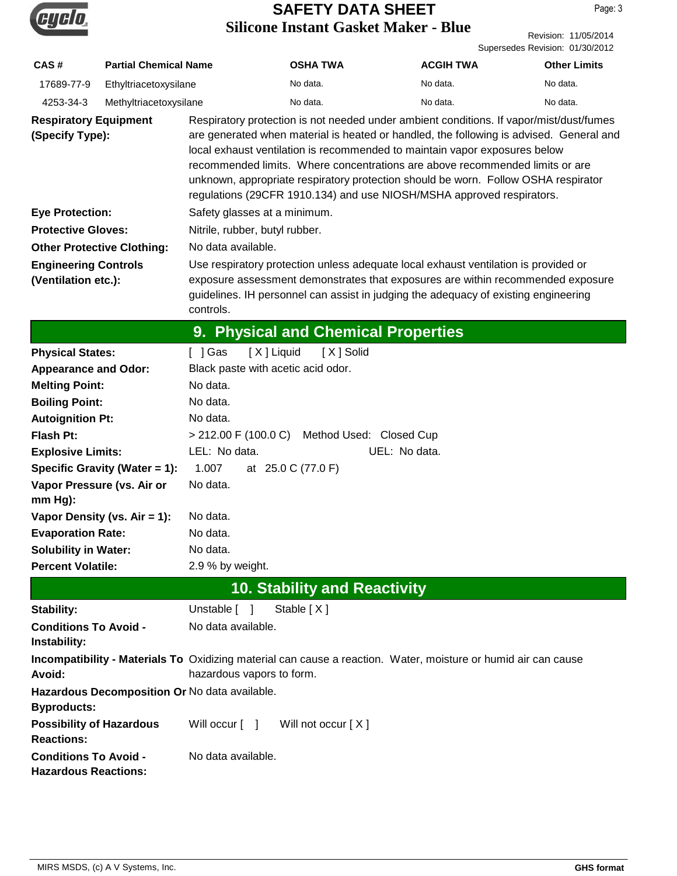

|                                                             |                                   |                                               | DINCONC INStant Oasket Makel - Diuc          |                                                                                                                                                                                                                                                                                                                                                                                                                                                                                                                 | Revision: 11/05/2014<br>Supersedes Revision: 01/30/2012 |
|-------------------------------------------------------------|-----------------------------------|-----------------------------------------------|----------------------------------------------|-----------------------------------------------------------------------------------------------------------------------------------------------------------------------------------------------------------------------------------------------------------------------------------------------------------------------------------------------------------------------------------------------------------------------------------------------------------------------------------------------------------------|---------------------------------------------------------|
| CAS#                                                        | <b>Partial Chemical Name</b>      |                                               | <b>OSHA TWA</b>                              | <b>ACGIH TWA</b>                                                                                                                                                                                                                                                                                                                                                                                                                                                                                                | <b>Other Limits</b>                                     |
| 17689-77-9                                                  | Ethyltriacetoxysilane             |                                               | No data.                                     | No data.                                                                                                                                                                                                                                                                                                                                                                                                                                                                                                        | No data.                                                |
| 4253-34-3                                                   | Methyltriacetoxysilane            |                                               | No data.                                     | No data.                                                                                                                                                                                                                                                                                                                                                                                                                                                                                                        | No data.                                                |
| <b>Respiratory Equipment</b><br>(Specify Type):             |                                   |                                               |                                              | Respiratory protection is not needed under ambient conditions. If vapor/mist/dust/fumes<br>are generated when material is heated or handled, the following is advised. General and<br>local exhaust ventilation is recommended to maintain vapor exposures below<br>recommended limits. Where concentrations are above recommended limits or are<br>unknown, appropriate respiratory protection should be worn. Follow OSHA respirator<br>regulations (29CFR 1910.134) and use NIOSH/MSHA approved respirators. |                                                         |
| <b>Eye Protection:</b>                                      |                                   | Safety glasses at a minimum.                  |                                              |                                                                                                                                                                                                                                                                                                                                                                                                                                                                                                                 |                                                         |
| <b>Protective Gloves:</b>                                   |                                   | Nitrile, rubber, butyl rubber.                |                                              |                                                                                                                                                                                                                                                                                                                                                                                                                                                                                                                 |                                                         |
|                                                             | <b>Other Protective Clothing:</b> | No data available.                            |                                              |                                                                                                                                                                                                                                                                                                                                                                                                                                                                                                                 |                                                         |
| <b>Engineering Controls</b>                                 |                                   |                                               |                                              | Use respiratory protection unless adequate local exhaust ventilation is provided or                                                                                                                                                                                                                                                                                                                                                                                                                             |                                                         |
| (Ventilation etc.):                                         |                                   | controls.                                     |                                              | exposure assessment demonstrates that exposures are within recommended exposure<br>guidelines. IH personnel can assist in judging the adequacy of existing engineering                                                                                                                                                                                                                                                                                                                                          |                                                         |
|                                                             |                                   |                                               | 9. Physical and Chemical Properties          |                                                                                                                                                                                                                                                                                                                                                                                                                                                                                                                 |                                                         |
| <b>Physical States:</b>                                     |                                   | [X] Liquid<br>[ ] Gas                         | [X] Solid                                    |                                                                                                                                                                                                                                                                                                                                                                                                                                                                                                                 |                                                         |
| <b>Appearance and Odor:</b>                                 |                                   | Black paste with acetic acid odor.            |                                              |                                                                                                                                                                                                                                                                                                                                                                                                                                                                                                                 |                                                         |
| <b>Melting Point:</b>                                       |                                   | No data.                                      |                                              |                                                                                                                                                                                                                                                                                                                                                                                                                                                                                                                 |                                                         |
| <b>Boiling Point:</b>                                       |                                   | No data.                                      |                                              |                                                                                                                                                                                                                                                                                                                                                                                                                                                                                                                 |                                                         |
| <b>Autoignition Pt:</b>                                     |                                   | No data.                                      |                                              |                                                                                                                                                                                                                                                                                                                                                                                                                                                                                                                 |                                                         |
| <b>Flash Pt:</b>                                            |                                   |                                               | > 212.00 F (100.0 C) Method Used: Closed Cup |                                                                                                                                                                                                                                                                                                                                                                                                                                                                                                                 |                                                         |
| <b>Explosive Limits:</b>                                    |                                   | LEL: No data.                                 |                                              | UEL: No data.                                                                                                                                                                                                                                                                                                                                                                                                                                                                                                   |                                                         |
|                                                             | Specific Gravity (Water = 1):     | 1.007                                         | at 25.0 C (77.0 F)                           |                                                                                                                                                                                                                                                                                                                                                                                                                                                                                                                 |                                                         |
| $mm Hg$ ):                                                  | Vapor Pressure (vs. Air or        | No data.                                      |                                              |                                                                                                                                                                                                                                                                                                                                                                                                                                                                                                                 |                                                         |
|                                                             | Vapor Density (vs. $Air = 1$ ):   | No data.                                      |                                              |                                                                                                                                                                                                                                                                                                                                                                                                                                                                                                                 |                                                         |
| <b>Evaporation Rate:</b>                                    |                                   | No data.                                      |                                              |                                                                                                                                                                                                                                                                                                                                                                                                                                                                                                                 |                                                         |
| <b>Solubility in Water:</b>                                 |                                   | No data.                                      |                                              |                                                                                                                                                                                                                                                                                                                                                                                                                                                                                                                 |                                                         |
| <b>Percent Volatile:</b>                                    |                                   | 2.9 % by weight.                              |                                              |                                                                                                                                                                                                                                                                                                                                                                                                                                                                                                                 |                                                         |
|                                                             |                                   |                                               | <b>10. Stability and Reactivity</b>          |                                                                                                                                                                                                                                                                                                                                                                                                                                                                                                                 |                                                         |
| Stability:                                                  |                                   | Unstable [ ]                                  | Stable [X]                                   |                                                                                                                                                                                                                                                                                                                                                                                                                                                                                                                 |                                                         |
| <b>Conditions To Avoid -</b><br>Instability:                |                                   | No data available.                            |                                              |                                                                                                                                                                                                                                                                                                                                                                                                                                                                                                                 |                                                         |
| Avoid:                                                      |                                   | hazardous vapors to form.                     |                                              | Incompatibility - Materials To Oxidizing material can cause a reaction. Water, moisture or humid air can cause                                                                                                                                                                                                                                                                                                                                                                                                  |                                                         |
| <b>Byproducts:</b>                                          |                                   | Hazardous Decomposition Or No data available. |                                              |                                                                                                                                                                                                                                                                                                                                                                                                                                                                                                                 |                                                         |
| <b>Possibility of Hazardous</b><br><b>Reactions:</b>        |                                   | Will occur [ ]                                | Will not occur [X]                           |                                                                                                                                                                                                                                                                                                                                                                                                                                                                                                                 |                                                         |
| <b>Conditions To Avoid -</b><br><b>Hazardous Reactions:</b> |                                   | No data available.                            |                                              |                                                                                                                                                                                                                                                                                                                                                                                                                                                                                                                 |                                                         |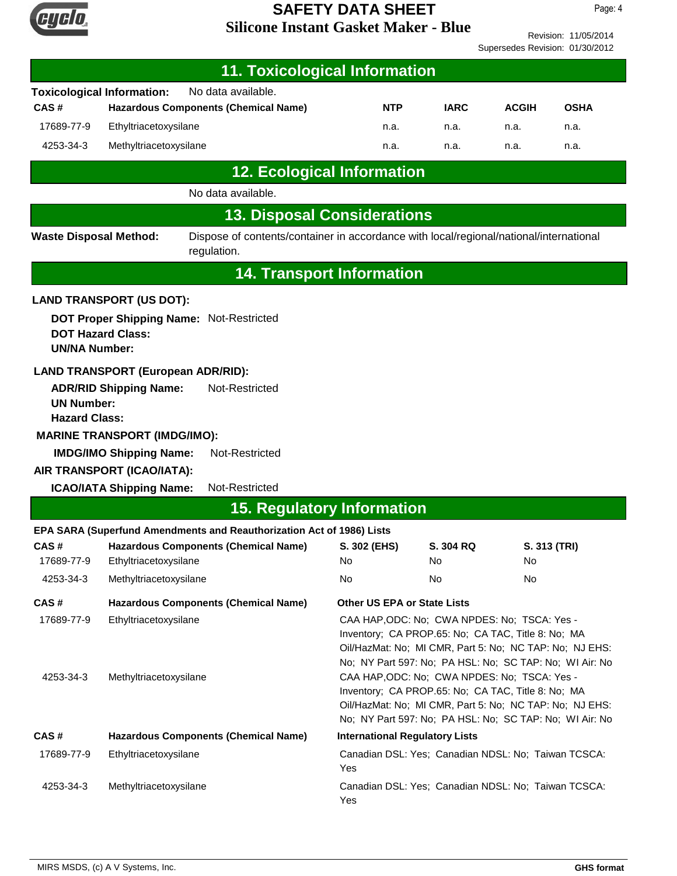

Revision: 11/05/2014 Supersedes Revision: 01/30/2012

| <b>11. Toxicological Information</b>             |                                                               |                                                                                                       |                                                                                                                                                                                                                          |             |              |              |  |
|--------------------------------------------------|---------------------------------------------------------------|-------------------------------------------------------------------------------------------------------|--------------------------------------------------------------------------------------------------------------------------------------------------------------------------------------------------------------------------|-------------|--------------|--------------|--|
|                                                  | <b>Toxicological Information:</b>                             | No data available.                                                                                    |                                                                                                                                                                                                                          |             |              |              |  |
| CAS#                                             | <b>Hazardous Components (Chemical Name)</b>                   |                                                                                                       |                                                                                                                                                                                                                          | <b>IARC</b> | <b>ACGIH</b> | <b>OSHA</b>  |  |
| 17689-77-9                                       | Ethyltriacetoxysilane                                         |                                                                                                       |                                                                                                                                                                                                                          | n.a.        | n.a.         | n.a.         |  |
| 4253-34-3                                        | Methyltriacetoxysilane                                        |                                                                                                       | n.a.                                                                                                                                                                                                                     | n.a.        | n.a.         | n.a.         |  |
|                                                  |                                                               | <b>12. Ecological Information</b>                                                                     |                                                                                                                                                                                                                          |             |              |              |  |
| No data available.                               |                                                               |                                                                                                       |                                                                                                                                                                                                                          |             |              |              |  |
|                                                  |                                                               | <b>13. Disposal Considerations</b>                                                                    |                                                                                                                                                                                                                          |             |              |              |  |
| <b>Waste Disposal Method:</b>                    |                                                               | Dispose of contents/container in accordance with local/regional/national/international<br>regulation. |                                                                                                                                                                                                                          |             |              |              |  |
|                                                  |                                                               |                                                                                                       | <b>14. Transport Information</b>                                                                                                                                                                                         |             |              |              |  |
|                                                  | <b>LAND TRANSPORT (US DOT):</b>                               |                                                                                                       |                                                                                                                                                                                                                          |             |              |              |  |
| <b>UN/NA Number:</b>                             | <b>DOT Hazard Class:</b>                                      | DOT Proper Shipping Name: Not-Restricted                                                              |                                                                                                                                                                                                                          |             |              |              |  |
|                                                  | <b>LAND TRANSPORT (European ADR/RID):</b>                     |                                                                                                       |                                                                                                                                                                                                                          |             |              |              |  |
| <b>UN Number:</b>                                | <b>ADR/RID Shipping Name:</b>                                 | Not-Restricted                                                                                        |                                                                                                                                                                                                                          |             |              |              |  |
| <b>Hazard Class:</b>                             |                                                               |                                                                                                       |                                                                                                                                                                                                                          |             |              |              |  |
|                                                  | <b>MARINE TRANSPORT (IMDG/IMO):</b>                           |                                                                                                       |                                                                                                                                                                                                                          |             |              |              |  |
| <b>IMDG/IMO Shipping Name:</b><br>Not-Restricted |                                                               |                                                                                                       |                                                                                                                                                                                                                          |             |              |              |  |
|                                                  | AIR TRANSPORT (ICAO/IATA):<br><b>ICAO/IATA Shipping Name:</b> | Not-Restricted                                                                                        |                                                                                                                                                                                                                          |             |              |              |  |
|                                                  |                                                               | <b>15. Regulatory Information</b>                                                                     |                                                                                                                                                                                                                          |             |              |              |  |
|                                                  |                                                               | EPA SARA (Superfund Amendments and Reauthorization Act of 1986) Lists                                 |                                                                                                                                                                                                                          |             |              |              |  |
| CAS#                                             |                                                               | <b>Hazardous Components (Chemical Name)</b>                                                           | S. 302 (EHS)                                                                                                                                                                                                             | S. 304 RQ   |              | S. 313 (TRI) |  |
| 17689-77-9                                       | Ethyltriacetoxysilane                                         |                                                                                                       | No                                                                                                                                                                                                                       | No          | No           |              |  |
| 4253-34-3                                        | Methyltriacetoxysilane                                        |                                                                                                       | No                                                                                                                                                                                                                       | No          | No           |              |  |
| CAS#                                             |                                                               | <b>Hazardous Components (Chemical Name)</b>                                                           | Other US EPA or State Lists                                                                                                                                                                                              |             |              |              |  |
| 17689-77-9                                       | Ethyltriacetoxysilane                                         |                                                                                                       | CAA HAP, ODC: No; CWA NPDES: No; TSCA: Yes -<br>Inventory; CA PROP.65: No; CA TAC, Title 8: No; MA<br>Oil/HazMat: No; MI CMR, Part 5: No; NC TAP: No; NJ EHS:<br>No; NY Part 597: No; PA HSL: No; SC TAP: No; WI Air: No |             |              |              |  |
| 4253-34-3                                        | Methyltriacetoxysilane                                        |                                                                                                       | CAA HAP, ODC: No; CWA NPDES: No; TSCA: Yes -<br>Inventory; CA PROP.65: No; CA TAC, Title 8: No; MA<br>Oil/HazMat: No; MI CMR, Part 5: No; NC TAP: No; NJ EHS:<br>No; NY Part 597: No; PA HSL: No; SC TAP: No; WI Air: No |             |              |              |  |
| CAS#                                             | <b>Hazardous Components (Chemical Name)</b>                   |                                                                                                       | <b>International Regulatory Lists</b>                                                                                                                                                                                    |             |              |              |  |
| 17689-77-9                                       | Ethyltriacetoxysilane                                         |                                                                                                       | Canadian DSL: Yes; Canadian NDSL: No; Taiwan TCSCA:<br>Yes                                                                                                                                                               |             |              |              |  |
| 4253-34-3                                        | Methyltriacetoxysilane                                        |                                                                                                       | Canadian DSL: Yes; Canadian NDSL: No; Taiwan TCSCA:<br>Yes                                                                                                                                                               |             |              |              |  |